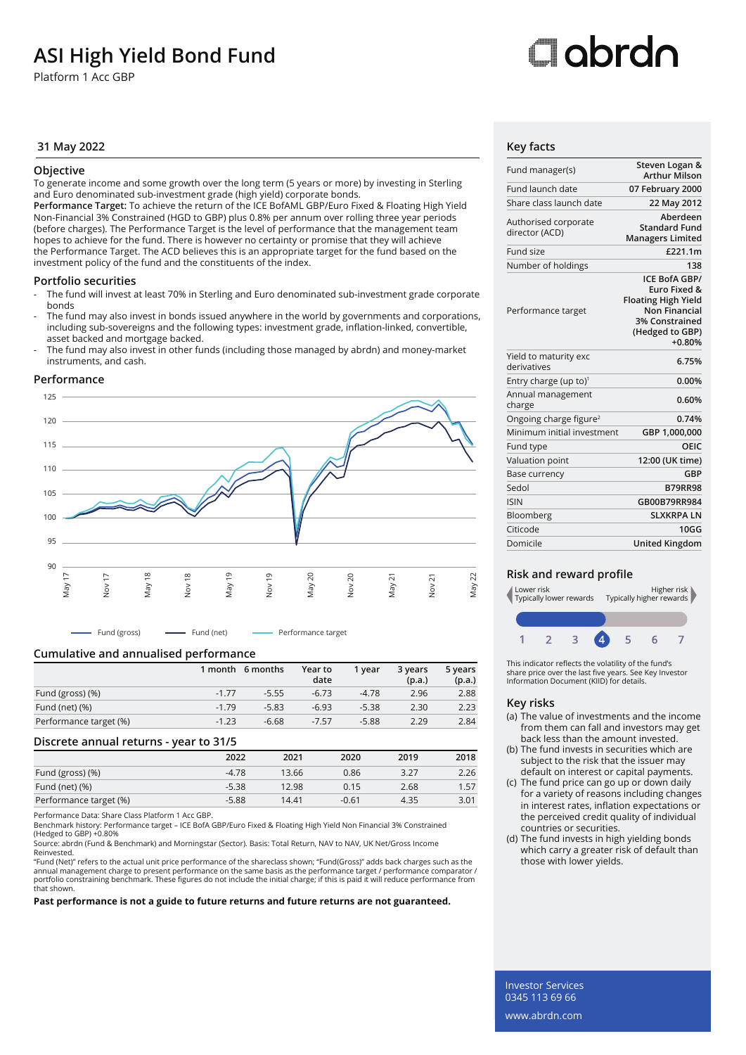## **ASI High Yield Bond Fund**

Platform 1 Acc GBP

## Oobrdo

### **31 May 2022 Key facts**

#### **Objective**

To generate income and some growth over the long term (5 years or more) by investing in Sterling and Euro denominated sub-investment grade (high yield) corporate bonds.

**Performance Target:** To achieve the return of the ICE BofAML GBP/Euro Fixed & Floating High Yield Non-Financial 3% Constrained (HGD to GBP) plus 0.8% per annum over rolling three year periods (before charges). The Performance Target is the level of performance that the management team hopes to achieve for the fund. There is however no certainty or promise that they will achieve the Performance Target. The ACD believes this is an appropriate target for the fund based on the investment policy of the fund and the constituents of the index.

#### **Portfolio securities**

- The fund will invest at least 70% in Sterling and Euro denominated sub-investment grade corporate bonds
- The fund may also invest in bonds issued anywhere in the world by governments and corporations, including sub-sovereigns and the following types: investment grade, inflation-linked, convertible, asset backed and mortgage backed.
- The fund may also invest in other funds (including those managed by abrdn) and money-market instruments, and cash.

#### **Performance**



Fund (gross) Fund (net) Performance target

### **Cumulative and annualised performance**

|                        |         | 1 month 6 months | Year to<br>date | 1 vear  | 3 years<br>(p.a.) | 5 years<br>(p.a.) |
|------------------------|---------|------------------|-----------------|---------|-------------------|-------------------|
| Fund (gross) (%)       | $-1.77$ | $-5.55$          | $-6.73$         | $-4.78$ | 2.96              | 2.88              |
| Fund (net) $(\%)$      | $-1.79$ | $-5.83$          | $-6.93$         | $-5.38$ | 2.30              | 2.23              |
| Performance target (%) | $-1.23$ | $-6.68$          | $-7.57$         | $-5.88$ | 2.29              | 2.84              |

#### **Discrete annual returns - year to 31/5**

|                        | 2022    | 2021  | 2020    | 2019 | 2018 |
|------------------------|---------|-------|---------|------|------|
| Fund (gross) (%)       | $-4.78$ | 13.66 | 0.86    | 3.27 | 2.26 |
| Fund (net) $(\%)$      | $-5.38$ | 12.98 | 0.15    | 2.68 | 1.57 |
| Performance target (%) | $-5.88$ | 14.41 | $-0.61$ | 4.35 | 3.01 |

Performance Data: Share Class Platform 1 Acc GBP.

Benchmark history: Performance target – ICE BofA GBP/Euro Fixed & Floating High Yield Non Financial 3% Constrained (Hedged to GBP) +0.80%

Source: abrdn (Fund & Benchmark) and Morningstar (Sector). Basis: Total Return, NAV to NAV, UK Net/Gross Income Reinvested.

"Fund (Net)" refers to the actual unit price performance of the shareclass shown; "Fund(Gross)" adds back charges such as the annual management charge to present performance on the same basis as the performance target / performance comparator /<br>portfolio constraining benchmark. These figures do not include the initial charge; if this is paid it w that shown.

**Past performance is not a guide to future returns and future returns are not guaranteed.** 

| Fund manager(s)                        | Steven Logan &<br><b>Arthur Milson</b>                                                                                                                 |
|----------------------------------------|--------------------------------------------------------------------------------------------------------------------------------------------------------|
| Fund launch date                       | 07 February 2000                                                                                                                                       |
| Share class launch date                | 22 May 2012                                                                                                                                            |
| Authorised corporate<br>director (ACD) | Aberdeen<br><b>Standard Fund</b><br><b>Managers Limited</b>                                                                                            |
| Fund size                              | £221.1m                                                                                                                                                |
| Number of holdings                     | 138                                                                                                                                                    |
| Performance target                     | <b>ICE BofA GBP/</b><br><b>Euro Fixed &amp;</b><br><b>Floating High Yield</b><br><b>Non Financial</b><br>3% Constrained<br>(Hedged to GBP)<br>$+0.80%$ |
| Yield to maturity exc<br>derivatives   | 6.75%                                                                                                                                                  |
| Entry charge (up to) <sup>1</sup>      | 0.00%                                                                                                                                                  |
| Annual management<br>charge            | 0.60%                                                                                                                                                  |
| Ongoing charge figure <sup>2</sup>     | 0.74%                                                                                                                                                  |
| Minimum initial investment             | GBP 1,000,000                                                                                                                                          |
| Fund type                              | OEIC                                                                                                                                                   |
| Valuation point                        | 12:00 (UK time)                                                                                                                                        |
| <b>Base currency</b>                   | GBP                                                                                                                                                    |
| Sedol                                  | <b>B79RR98</b>                                                                                                                                         |
| <b>ISIN</b>                            | GB00B79RR984                                                                                                                                           |
| Bloomberg                              | <b>SLXKRPALN</b>                                                                                                                                       |
| Citicode                               | 10GG                                                                                                                                                   |
| Domicile                               | <b>United Kingdom</b>                                                                                                                                  |

#### **Risk and reward profile**



This indicator reflects the volatility of the fund's share price over the last five years. See Key Investor Information Document (KIID) for details.

#### **Key risks**

- (a) The value of investments and the income from them can fall and investors may get back less than the amount invested.
- (b) The fund invests in securities which are subject to the risk that the issuer may default on interest or capital payments.
- (c) The fund price can go up or down daily for a variety of reasons including changes in interest rates, inflation expectations or the perceived credit quality of individual countries or securities.
- (d) The fund invests in high yielding bonds which carry a greater risk of default than those with lower yields.

Investor Services 0345 113 69 66 www.abrdn.com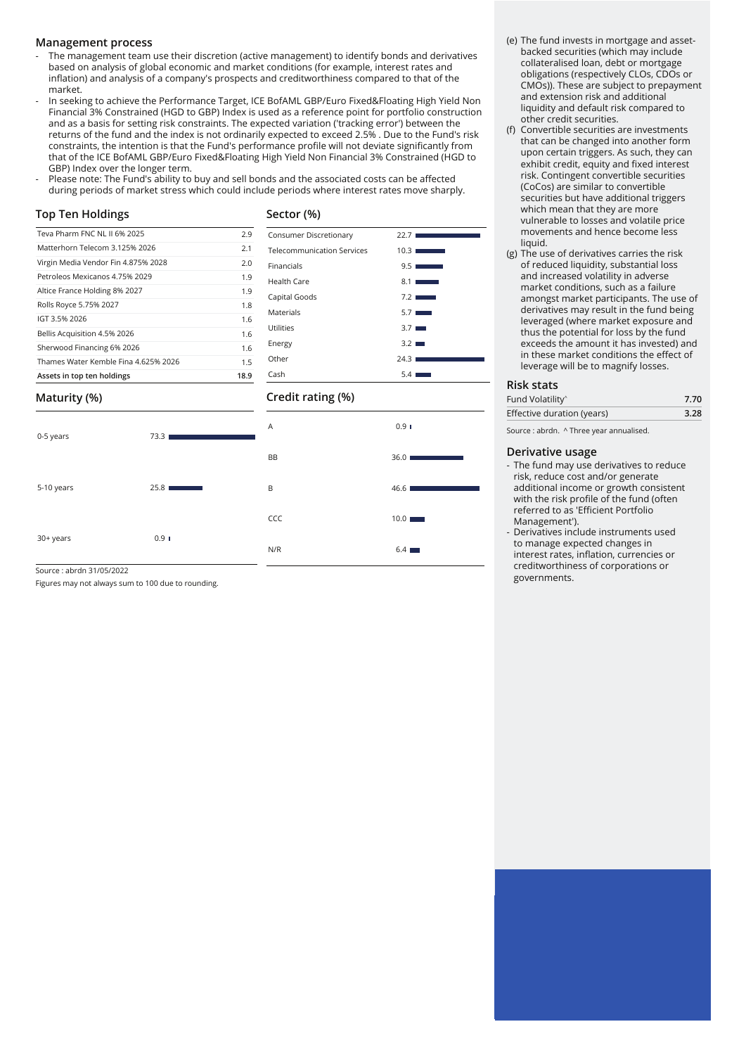#### **Management process**

- The management team use their discretion (active management) to identify bonds and derivatives based on analysis of global economic and market conditions (for example, interest rates and inflation) and analysis of a company's prospects and creditworthiness compared to that of the market.
- In seeking to achieve the Performance Target, ICE BofAML GBP/Euro Fixed&Floating High Yield Non Financial 3% Constrained (HGD to GBP) Index is used as a reference point for portfolio construction and as a basis for setting risk constraints. The expected variation ('tracking error') between the returns of the fund and the index is not ordinarily expected to exceed 2.5% . Due to the Fund's risk constraints, the intention is that the Fund's performance profile will not deviate significantly from that of the ICE BofAML GBP/Euro Fixed&Floating High Yield Non Financial 3% Constrained (HGD to GBP) Index over the longer term.
- Please note: The Fund's ability to buy and sell bonds and the associated costs can be affected during periods of market stress which could include periods where interest rates move sharply.

**Sector (%)**

#### **Top Ten Holdings**

### Teva Pharm FNC NL II 6% 2025 2.9 Matterhorn Telecom 3.125% 2026 2.1 Virgin Media Vendor Fin 4.875% 2028 2.0 Petroleos Mexicanos 4.75% 2029 1.9 Altice France Holding 8% 2027 1.9 Rolls Royce 5.75% 2027 1.8 IGT 3.5% 2026 2001 2002 1.6 Bellis Acquisition 4.5% 2026 1.6 Sherwood Financing 6% 2026 1.6 Thames Water Kemble Fina 4.625% 2026 **Assets in top ten holdings 18.9**

| Consumer Discretionary            | 22.7                  |
|-----------------------------------|-----------------------|
| <b>Telecommunication Services</b> | 10.3                  |
| Financials                        | 9.5                   |
| Health Care                       | 8.11<br><b>Common</b> |
| Capital Goods                     | 7.2                   |
| Materials                         | $5.7$ $\blacksquare$  |
| Utilities                         | $3.7 \blacksquare$    |
| Energy                            | $3.2 \blacksquare$    |
| Other                             | 24.31                 |
| Cash                              | 5.4                   |
|                                   |                       |

#### **Credit rating (%)**

| Maturity (%) |  |
|--------------|--|
|--------------|--|

| 0-5 years  | 73.3 |
|------------|------|
| 5-10 years | 25.8 |
| 30+ years  | 0.91 |

# $A$  0.9

BB 36.0 ■

B 46.6

CCC 10.0

 $N/R$  6.4

- (e) The fund invests in mortgage and assetbacked securities (which may include collateralised loan, debt or mortgage obligations (respectively CLOs, CDOs or CMOs)). These are subject to prepayment and extension risk and additional liquidity and default risk compared to other credit securities.
- (f) Convertible securities are investments that can be changed into another form upon certain triggers. As such, they can exhibit credit, equity and fixed interest risk. Contingent convertible securities (CoCos) are similar to convertible securities but have additional triggers which mean that they are more vulnerable to losses and volatile price movements and hence become less liquid.
- (g) The use of derivatives carries the risk of reduced liquidity, substantial loss and increased volatility in adverse market conditions, such as a failure amongst market participants. The use of derivatives may result in the fund being leveraged (where market exposure and thus the potential for loss by the fund exceeds the amount it has invested) and in these market conditions the effect of leverage will be to magnify losses.

#### **Risk stats**

| Fund Volatility <sup>^</sup> | 7.70 |
|------------------------------|------|
| Effective duration (years)   | 3.28 |
|                              |      |

Source : abrdn. ^ Three year annualised.

#### **Derivative usage**

- The fund may use derivatives to reduce risk, reduce cost and/or generate additional income or growth consistent with the risk profile of the fund (often referred to as 'Efficient Portfolio Management').
- Derivatives include instruments used to manage expected changes in interest rates, inflation, currencies or creditworthiness of corporations or governments.

Source : abrdn 31/05/2022

Figures may not always sum to 100 due to rounding.